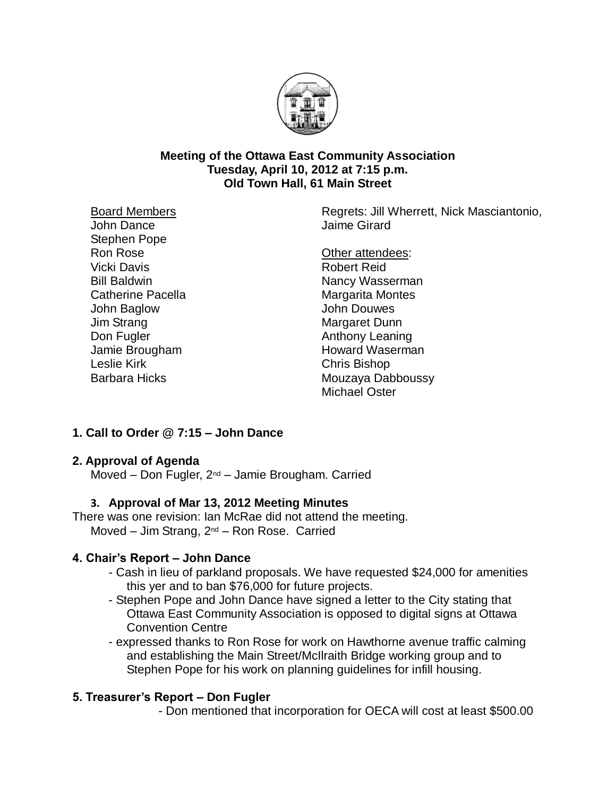

#### **Meeting of the Ottawa East Community Association Tuesday, April 10, 2012 at 7:15 p.m. Old Town Hall, 61 Main Street**

Board Members John Dance Stephen Pope

Ron Rose Vicki Davis Bill Baldwin Catherine Pacella John Baglow Jim Strang Don Fugler Jamie Brougham Leslie Kirk Barbara Hicks

Regrets: Jill Wherrett, Nick Masciantonio, Jaime Girard

Other attendees: Robert Reid Nancy Wasserman Margarita Montes John Douwes Margaret Dunn Anthony Leaning Howard Waserman Chris Bishop Mouzaya Dabboussy Michael Oster

# **1. Call to Order @ 7:15 – John Dance**

## **2. Approval of Agenda**

Moved – Don Fugler, 2<sup>nd</sup> – Jamie Brougham. Carried

# **3. Approval of Mar 13, 2012 Meeting Minutes**

There was one revision: Ian McRae did not attend the meeting. Moved – Jim Strang,  $2^{nd}$  – Ron Rose. Carried

# **4. Chair's Report – John Dance**

- Cash in lieu of parkland proposals. We have requested \$24,000 for amenities this yer and to ban \$76,000 for future projects.
- Stephen Pope and John Dance have signed a letter to the City stating that Ottawa East Community Association is opposed to digital signs at Ottawa Convention Centre
- expressed thanks to Ron Rose for work on Hawthorne avenue traffic calming and establishing the Main Street/McIlraith Bridge working group and to Stephen Pope for his work on planning guidelines for infill housing.

# **5. Treasurer's Report – Don Fugler**

- Don mentioned that incorporation for OECA will cost at least \$500.00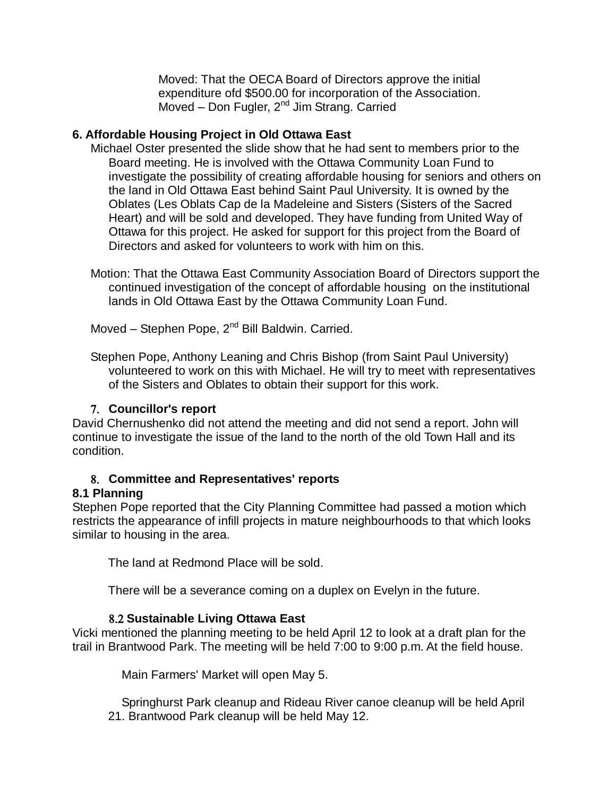Moved: That the OECA Board of Directors approve the initial expenditure ofd \$500.00 for incorporation of the Association. Moved – Don Fugler,  $2^{nd}$  Jim Strang. Carried

## **6. Affordable Housing Project in Old Ottawa East**

- Michael Oster presented the slide show that he had sent to members prior to the Board meeting. He is involved with the Ottawa Community Loan Fund to investigate the possibility of creating affordable housing for seniors and others on the land in Old Ottawa East behind Saint Paul University. It is owned by the Oblates (Les Oblats Cap de la Madeleine and Sisters (Sisters of the Sacred Heart) and will be sold and developed. They have funding from United Way of Ottawa for this project. He asked for support for this project from the Board of Directors and asked for volunteers to work with him on this.
- Motion: That the Ottawa East Community Association Board of Directors support the continued investigation of the concept of affordable housing on the institutional lands in Old Ottawa East by the Ottawa Community Loan Fund.

Moved – Stephen Pope,  $2^{nd}$  Bill Baldwin. Carried.

Stephen Pope, Anthony Leaning and Chris Bishop (from Saint Paul University) volunteered to work on this with Michael. He will try to meet with representatives of the Sisters and Oblates to obtain their support for this work.

## **Councillor's report**

David Chernushenko did not attend the meeting and did not send a report. John will continue to investigate the issue of the land to the north of the old Town Hall and its condition.

## **Committee and Representatives' reports**

## **8.1 Planning**

Stephen Pope reported that the City Planning Committee had passed a motion which restricts the appearance of infill projects in mature neighbourhoods to that which looks similar to housing in the area.

The land at Redmond Place will be sold.

There will be a severance coming on a duplex on Evelyn in the future.

## **Sustainable Living Ottawa East**

Vicki mentioned the planning meeting to be held April 12 to look at a draft plan for the trail in Brantwood Park. The meeting will be held 7:00 to 9:00 p.m. At the field house.

Main Farmers' Market will open May 5.

 Springhurst Park cleanup and Rideau River canoe cleanup will be held April 21. Brantwood Park cleanup will be held May 12.